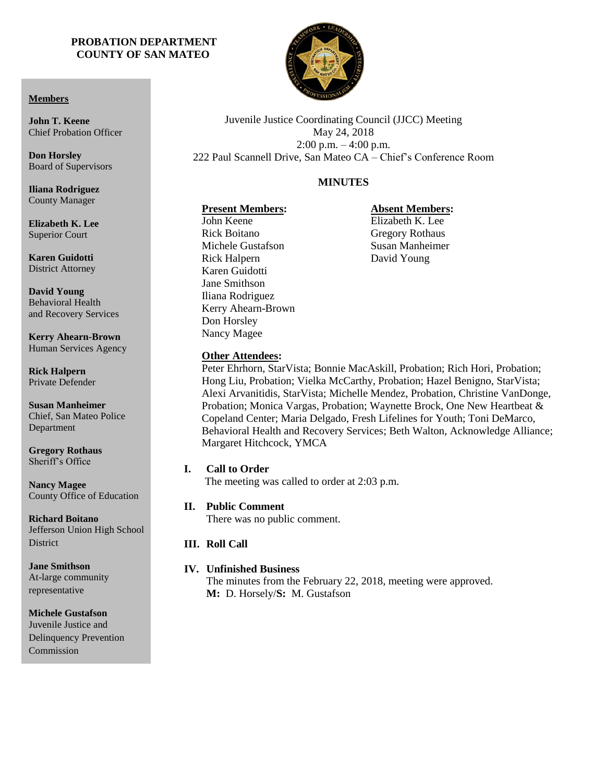#### **PROBATION DEPARTMENT COUNTY OF SAN MATEO**



Juvenile Justice Coordinating Council (JJCC) Meeting May 24, 2018 2:00 p.m. – 4:00 p.m. 222 Paul Scannell Drive, San Mateo CA – Chief's Conference Room

# **MINUTES**

# **Present Members:**

# John Keene Rick Boitano Michele Gustafson Rick Halpern Karen Guidotti Jane Smithson Iliana Rodriguez Don Horsley Nancy Magee

#### **Absent Members:** Elizabeth K. Lee

Gregory Rothaus Susan Manheimer David Young

**David Young** Behavioral Health

and Recovery Services

**Kerry Ahearn-Brown** Human Services Agency

**Rick Halpern** Private Defender

**Susan Manheimer** Chief, San Mateo Police Department

**Gregory Rothaus** Sheriff's Office

**Nancy Magee** County Office of Education

**Richard Boitano** Jefferson Union High School **District** 

**Jane Smithson** At-large community representative

**Michele Gustafson**  Juvenile Justice and Delinquency Prevention Commission

Kerry Ahearn-Brown

# **Other Attendees:**

Peter Ehrhorn, StarVista; Bonnie MacAskill, Probation; Rich Hori, Probation; Hong Liu, Probation; Vielka McCarthy, Probation; Hazel Benigno, StarVista; Alexi Arvanitidis, StarVista; Michelle Mendez, Probation, Christine VanDonge, Probation; Monica Vargas, Probation; Waynette Brock, One New Heartbeat & Copeland Center; Maria Delgado, Fresh Lifelines for Youth; Toni DeMarco, Behavioral Health and Recovery Services; Beth Walton, Acknowledge Alliance; Margaret Hitchcock, YMCA

# **I. Call to Order**

The meeting was called to order at 2:03 p.m.

# **II. Public Comment**

There was no public comment.

# **III. Roll Call**

#### **IV. Unfinished Business**

The minutes from the February 22, 2018, meeting were approved. **M:** D. Horsely/**S:** M. Gustafson

#### **Members**

**John T. Keene** Chief Probation Officer

**Don Horsley** Board of Supervisors

**Iliana Rodriguez** County Manager

**Elizabeth K. Lee** Superior Court

**Karen Guidotti** District Attorney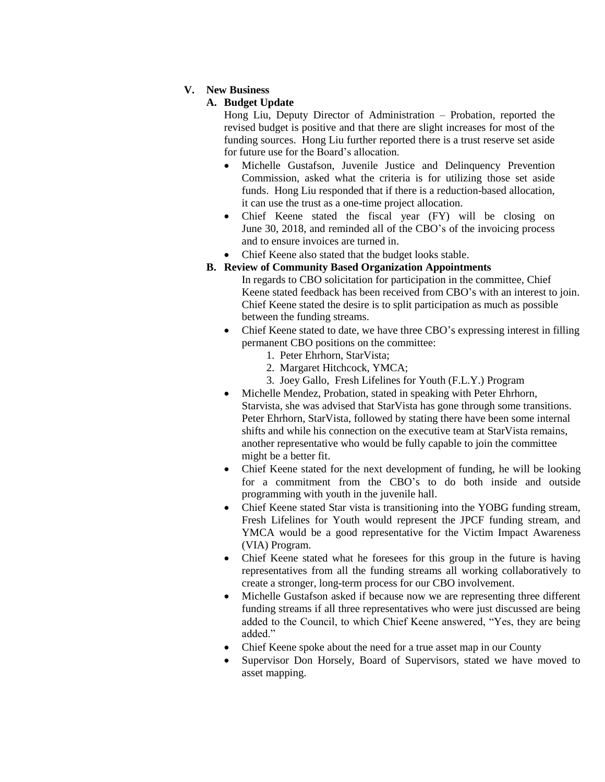# **V. New Business**

# **A. Budget Update**

Hong Liu, Deputy Director of Administration – Probation, reported the revised budget is positive and that there are slight increases for most of the funding sources. Hong Liu further reported there is a trust reserve set aside for future use for the Board's allocation.

- Michelle Gustafson, Juvenile Justice and Delinquency Prevention Commission, asked what the criteria is for utilizing those set aside funds. Hong Liu responded that if there is a reduction-based allocation, it can use the trust as a one-time project allocation.
- Chief Keene stated the fiscal year (FY) will be closing on June 30, 2018, and reminded all of the CBO's of the invoicing process and to ensure invoices are turned in.
- Chief Keene also stated that the budget looks stable.

# **B. Review of Community Based Organization Appointments**

- In regards to CBO solicitation for participation in the committee, Chief Keene stated feedback has been received from CBO's with an interest to join. Chief Keene stated the desire is to split participation as much as possible between the funding streams.
- Chief Keene stated to date, we have three CBO's expressing interest in filling permanent CBO positions on the committee:
	- 1. Peter Ehrhorn, StarVista;
	- 2. Margaret Hitchcock, YMCA;
	- 3. Joey Gallo, Fresh Lifelines for Youth (F.L.Y.) Program
- Michelle Mendez, Probation, stated in speaking with Peter Ehrhorn, Starvista, she was advised that StarVista has gone through some transitions. Peter Ehrhorn, StarVista, followed by stating there have been some internal shifts and while his connection on the executive team at StarVista remains, another representative who would be fully capable to join the committee might be a better fit.
- Chief Keene stated for the next development of funding, he will be looking for a commitment from the CBO's to do both inside and outside programming with youth in the juvenile hall.
- Chief Keene stated Star vista is transitioning into the YOBG funding stream, Fresh Lifelines for Youth would represent the JPCF funding stream, and YMCA would be a good representative for the Victim Impact Awareness (VIA) Program.
- Chief Keene stated what he foresees for this group in the future is having representatives from all the funding streams all working collaboratively to create a stronger, long-term process for our CBO involvement.
- Michelle Gustafson asked if because now we are representing three different funding streams if all three representatives who were just discussed are being added to the Council, to which Chief Keene answered, "Yes, they are being added."
- Chief Keene spoke about the need for a true asset map in our County
- Supervisor Don Horsely, Board of Supervisors, stated we have moved to asset mapping.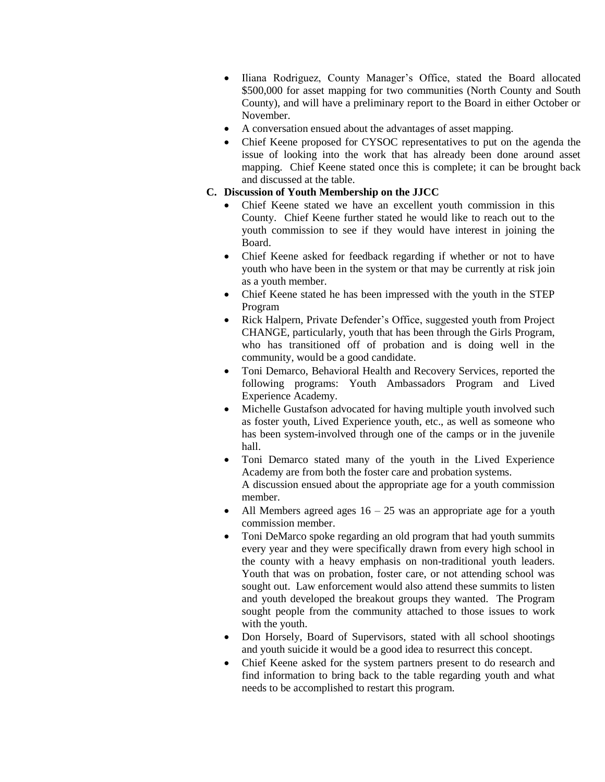- Iliana Rodriguez, County Manager's Office, stated the Board allocated \$500,000 for asset mapping for two communities (North County and South County), and will have a preliminary report to the Board in either October or November.
- A conversation ensued about the advantages of asset mapping.
- Chief Keene proposed for CYSOC representatives to put on the agenda the issue of looking into the work that has already been done around asset mapping. Chief Keene stated once this is complete; it can be brought back and discussed at the table.

### **C. Discussion of Youth Membership on the JJCC**

- Chief Keene stated we have an excellent youth commission in this County. Chief Keene further stated he would like to reach out to the youth commission to see if they would have interest in joining the Board.
- Chief Keene asked for feedback regarding if whether or not to have youth who have been in the system or that may be currently at risk join as a youth member.
- Chief Keene stated he has been impressed with the youth in the STEP Program
- Rick Halpern, Private Defender's Office, suggested youth from Project CHANGE, particularly, youth that has been through the Girls Program, who has transitioned off of probation and is doing well in the community, would be a good candidate.
- Toni Demarco, Behavioral Health and Recovery Services, reported the following programs: Youth Ambassadors Program and Lived Experience Academy.
- Michelle Gustafson advocated for having multiple youth involved such as foster youth, Lived Experience youth, etc., as well as someone who has been system-involved through one of the camps or in the juvenile hall.
- Toni Demarco stated many of the youth in the Lived Experience Academy are from both the foster care and probation systems. A discussion ensued about the appropriate age for a youth commission member.
- All Members agreed ages  $16 25$  was an appropriate age for a youth commission member.
- Toni DeMarco spoke regarding an old program that had youth summits every year and they were specifically drawn from every high school in the county with a heavy emphasis on non-traditional youth leaders. Youth that was on probation, foster care, or not attending school was sought out. Law enforcement would also attend these summits to listen and youth developed the breakout groups they wanted. The Program sought people from the community attached to those issues to work with the youth.
- Don Horsely, Board of Supervisors, stated with all school shootings and youth suicide it would be a good idea to resurrect this concept.
- Chief Keene asked for the system partners present to do research and find information to bring back to the table regarding youth and what needs to be accomplished to restart this program.